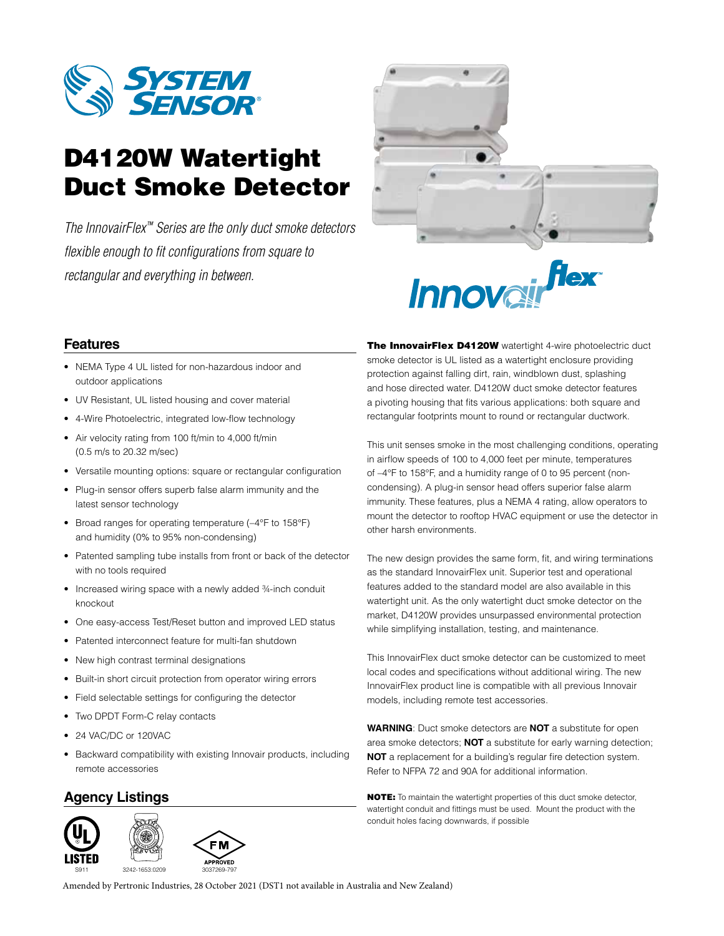

# D4120W Watertight Duct Smoke Detector

*The InnovairFlex™ Series are the only duct smoke detectors flexible enough to fit configurations from square to rectangular and everything in between.*



# flex *Innova*

## **Features**

- NEMA Type 4 UL listed for non-hazardous indoor and outdoor applications
- UV Resistant, UL listed housing and cover material
- 4-Wire Photoelectric, integrated low-flow technology
- Air velocity rating from 100 ft/min to 4,000 ft/min (0.5 m/s to 20.32 m/sec)
- Versatile mounting options: square or rectangular configuration
- Plug-in sensor offers superb false alarm immunity and the latest sensor technology
- Broad ranges for operating temperature (-4°F to 158°F) and humidity (0% to 95% non-condensing)
- Patented sampling tube installs from front or back of the detector with no tools required
- Increased wiring space with a newly added 3/4-inch conduit knockout
- One easy-access Test/Reset button and improved LED status
- Patented interconnect feature for multi-fan shutdown
- New high contrast terminal designations
- Built-in short circuit protection from operator wiring errors
- Field selectable settings for configuring the detector
- Two DPDT Form-C relay contacts
- 24 VAC/DC or 120VAC
- Backward compatibility with existing Innovair products, including remote accessories

## **Agency Listings**



The InnovairFlex D4120W watertight 4-wire photoelectric duct smoke detector is UL listed as a watertight enclosure providing protection against falling dirt, rain, windblown dust, splashing and hose directed water. D4120W duct smoke detector features a pivoting housing that fits various applications: both square and rectangular footprints mount to round or rectangular ductwork.

This unit senses smoke in the most challenging conditions, operating in airflow speeds of 100 to 4,000 feet per minute, temperatures of –4°F to 158°F, and a humidity range of 0 to 95 percent (noncondensing). A plug-in sensor head offers superior false alarm immunity. These features, plus a NEMA 4 rating, allow operators to mount the detector to rooftop HVAC equipment or use the detector in other harsh environments.

The new design provides the same form, fit, and wiring terminations as the standard InnovairFlex unit. Superior test and operational features added to the standard model are also available in this watertight unit. As the only watertight duct smoke detector on the market, D4120W provides unsurpassed environmental protection while simplifying installation, testing, and maintenance.

This InnovairFlex duct smoke detector can be customized to meet local codes and specifications without additional wiring. The new InnovairFlex product line is compatible with all previous Innovair models, including remote test accessories.

**WARNING**: Duct smoke detectors are **NOT** a substitute for open area smoke detectors; **NOT** a substitute for early warning detection; **NOT** a replacement for a building's regular fire detection system. Refer to NFPA 72 and 90A for additional information.

NOTE: To maintain the watertight properties of this duct smoke detector, watertight conduit and fittings must be used. Mount the product with the conduit holes facing downwards, if possible

Amended by Pertronic Industries, 28 October 2021 (DST1 not available in Australia and New Zealand)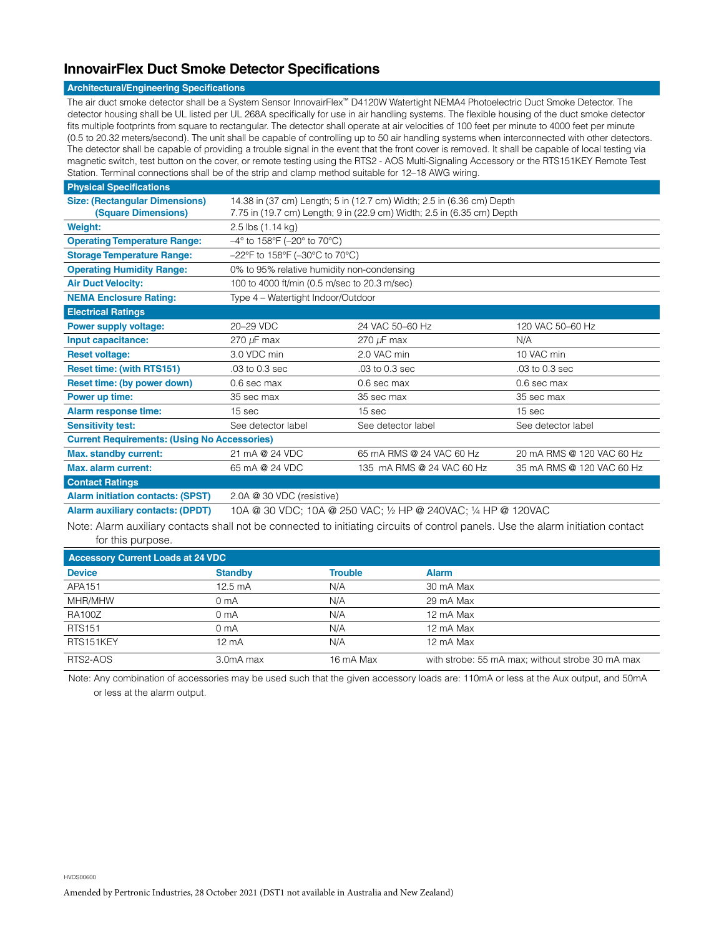## **InnovairFlex Duct Smoke Detector Specifications**

#### **Architectural/Engineering Specifications**

The air duct smoke detector shall be a System Sensor InnovairFlex™ D4120W Watertight NEMA4 Photoelectric Duct Smoke Detector. The detector housing shall be UL listed per UL 268A specifically for use in air handling systems. The flexible housing of the duct smoke detector fits multiple footprints from square to rectangular. The detector shall operate at air velocities of 100 feet per minute to 4000 feet per minute (0.5 to 20.32 meters/second). The unit shall be capable of controlling up to 50 air handling systems when interconnected with other detectors. The detector shall be capable of providing a trouble signal in the event that the front cover is removed. It shall be capable of local testing via magnetic switch, test button on the cover, or remote testing using the RTS2 - AOS Multi-Signaling Accessory or the RTS151KEY Remote Test Station. Terminal connections shall be of the strip and clamp method suitable for 12–18 AWG wiring.

| <b>Physical Specifications</b>                      |                                                                           |                           |                           |  |  |
|-----------------------------------------------------|---------------------------------------------------------------------------|---------------------------|---------------------------|--|--|
| <b>Size: (Rectangular Dimensions)</b>               | 14.38 in (37 cm) Length; 5 in (12.7 cm) Width; 2.5 in (6.36 cm) Depth     |                           |                           |  |  |
| (Square Dimensions)                                 | 7.75 in (19.7 cm) Length; 9 in (22.9 cm) Width; 2.5 in (6.35 cm) Depth    |                           |                           |  |  |
| <b>Weight:</b>                                      | 2.5 lbs (1.14 kg)                                                         |                           |                           |  |  |
| <b>Operating Temperature Range:</b>                 | $-4^{\circ}$ to 158°F (-20° to 70°C)                                      |                           |                           |  |  |
| <b>Storage Temperature Range:</b>                   | $-22^{\circ}$ F to 158 $^{\circ}$ F ( $-30^{\circ}$ C to 70 $^{\circ}$ C) |                           |                           |  |  |
| <b>Operating Humidity Range:</b>                    | 0% to 95% relative humidity non-condensing                                |                           |                           |  |  |
| <b>Air Duct Velocity:</b>                           | 100 to 4000 ft/min (0.5 m/sec to 20.3 m/sec)                              |                           |                           |  |  |
| <b>NEMA Enclosure Rating:</b>                       | Type 4 – Watertight Indoor/Outdoor                                        |                           |                           |  |  |
| <b>Electrical Ratings</b>                           |                                                                           |                           |                           |  |  |
| <b>Power supply voltage:</b>                        | 20-29 VDC                                                                 | 24 VAC 50-60 Hz           | 120 VAC 50-60 Hz          |  |  |
| Input capacitance:                                  | 270 $\mu$ F max                                                           | 270 $\mu$ F max           | N/A                       |  |  |
| <b>Reset voltage:</b>                               | 3.0 VDC min                                                               | 2.0 VAC min               | 10 VAC min                |  |  |
| <b>Reset time: (with RTS151)</b>                    | .03 to 0.3 sec                                                            | .03 to 0.3 sec            | .03 to 0.3 sec            |  |  |
| Reset time: (by power down)                         | 0.6 sec max                                                               | 0.6 sec max               | 0.6 sec max               |  |  |
| Power up time:                                      | 35 sec max                                                                | 35 sec max                | 35 sec max                |  |  |
| <b>Alarm response time:</b>                         | 15 sec                                                                    | 15 sec                    | 15 sec                    |  |  |
| <b>Sensitivity test:</b>                            | See detector label                                                        | See detector label        | See detector label        |  |  |
| <b>Current Requirements: (Using No Accessories)</b> |                                                                           |                           |                           |  |  |
| <b>Max. standby current:</b>                        | 21 mA @ 24 VDC                                                            | 65 mA RMS @ 24 VAC 60 Hz  | 20 mA RMS @ 120 VAC 60 Hz |  |  |
| Max. alarm current:                                 | 65 mA @ 24 VDC                                                            | 135 mA RMS @ 24 VAC 60 Hz | 35 mA RMS @ 120 VAC 60 Hz |  |  |
| <b>Contact Ratings</b>                              |                                                                           |                           |                           |  |  |
| <b>Alarm initiation contacts: (SPST)</b>            | 2.0A @ 30 VDC (resistive)                                                 |                           |                           |  |  |

**Alarm auxiliary contacts: (DPDT)** 10A @ 30 VDC; 10A @ 250 VAC; ½ HP @ 240VAC; ¼ HP @ 120VAC

Note: Alarm auxiliary contacts shall not be connected to initiating circuits of control panels. Use the alarm initiation contact for this purpose.

| <b>Accessory Current Loads at 24 VDC</b> |                   |                |                                                  |  |  |
|------------------------------------------|-------------------|----------------|--------------------------------------------------|--|--|
| <b>Device</b>                            | <b>Standby</b>    | <b>Trouble</b> | <b>Alarm</b>                                     |  |  |
| APA151                                   | $12.5 \text{ mA}$ | N/A            | 30 mA Max                                        |  |  |
| MHR/MHW                                  | 0 <sub>m</sub> A  | N/A            | 29 mA Max                                        |  |  |
| <b>RA100Z</b>                            | 0 <sub>m</sub> A  | N/A            | 12 mA Max                                        |  |  |
| <b>RTS151</b>                            | 0 <sub>m</sub> A  | N/A            | 12 mA Max                                        |  |  |
| RTS151KEY                                | $12 \text{ mA}$   | N/A            | 12 mA Max                                        |  |  |
| RTS2-AOS                                 | 3.0mA max         | 16 mA Max      | with strobe: 55 mA max; without strobe 30 mA max |  |  |

Note: Any combination of accessories may be used such that the given accessory loads are: 110mA or less at the Aux output, and 50mA or less at the alarm output.

HVDS00600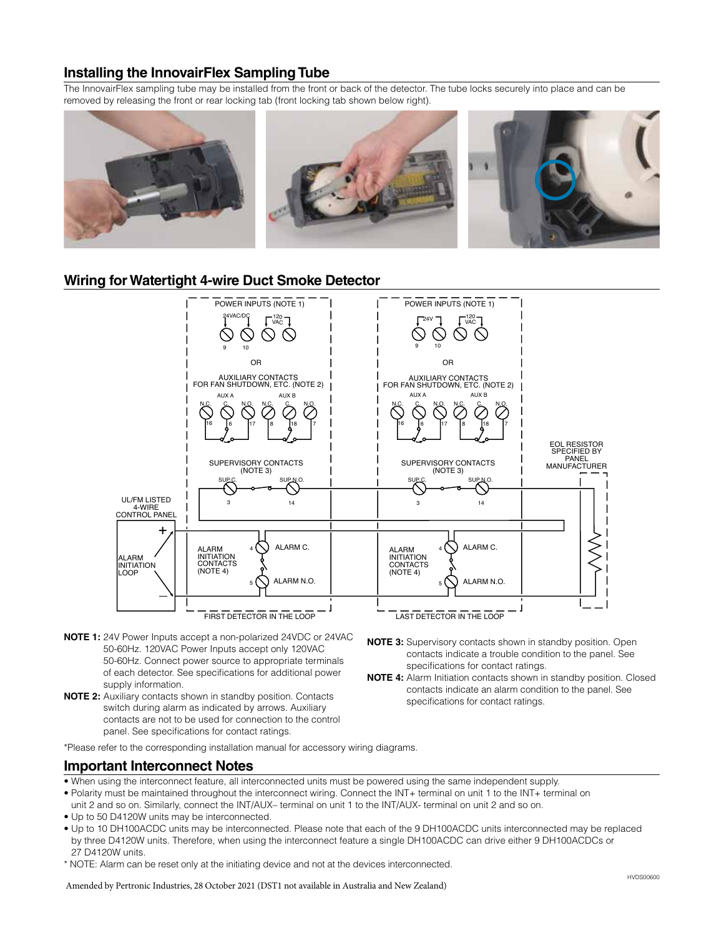## **Installing the InnovairFlex Sampling Tube**

The InnovairFlex sampling tube may be installed from the front or back of the detector. The tube locks securely into place and can be removed by releasing the front or rear locking tab (front locking tab shown below right).



### **Wiring for Watertight 4-wire Duct Smoke Detector**



- **NOTE 1:** 24V Power Inputs accept a non-polarized 24VDC or 24VAC 50-60Hz. 120VAC Power Inputs accept only 120VAC 50-60Hz. Connect power source to appropriate terminals of each detector. See specifications for additional power supply information.
- **NOTE 2:** Auxiliary contacts shown in standby position. Contacts switch during alarm as indicated by arrows. Auxiliary contacts are not to be used for connection to the control panel. See specifications for contact ratings.
- **NOTE 3:** Supervisory contacts shown in standby position. Open contacts indicate a trouble condition to the panel. See specifications for contact ratings.
- **NOTE 4:** Alarm Initiation contacts shown in standby position. Closed contacts indicate an alarm condition to the panel. See specifications for contact ratings.

\*Please refer to the corresponding installation manual for accessory wiring diagrams.

### **Important Interconnect Notes**

- When using the interconnect feature, all interconnected units must be powered using the same independent supply.
- Polarity must be maintained throughout the interconnect wiring. Connect the INT+ terminal on unit 1 to the INT+ terminal on
- unit 2 and so on. Similarly, connect the INT/AUX– terminal on unit 1 to the INT/AUX- terminal on unit 2 and so on. • Up to 50 D4120W units may be interconnected.
- Up to 10 DH100ACDC units may be interconnected. Please note that each of the 9 DH100ACDC units interconnected may be replaced by three D4120W units. Therefore, when using the interconnect feature a single DH100ACDC can drive either 9 DH100ACDCs or 27 D4120W units.
- \* NOTE: Alarm can be reset only at the initiating device and not at the devices interconnected.